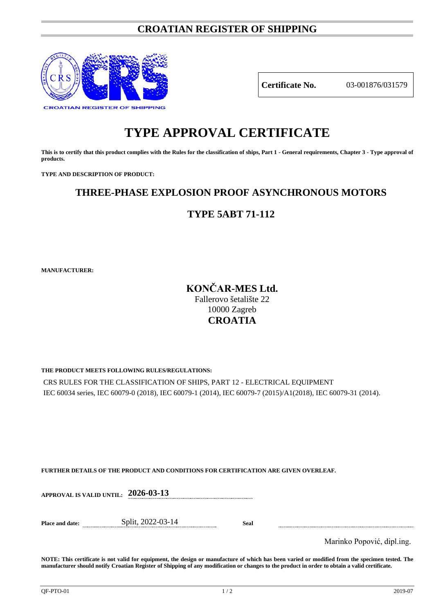# **CROATIAN REGISTER OF SHIPPING**



**Certificate No.** 03-001876/031579

# **TYPE APPROVAL CERTIFICATE**

**This is to certify that this product complies with the Rules for the classification of ships, Part 1 - General requirements, Chapter 3 - Type approval of products.**

**TYPE AND DESCRIPTION OF PRODUCT:** 

# **THREE-PHASE EXPLOSION PROOF ASYNCHRONOUS MOTORS**

# **TYPE 5ABT 71-112**

**MANUFACTURER:**

# **KONČAR-MES Ltd.**

Fallerovo šetalište 22 10000 Zagreb **CROATIA**

## **THE PRODUCT MEETS FOLLOWING RULES/REGULATIONS:**

CRS RULES FOR THE CLASSIFICATION OF SHIPS, PART 12 - ELECTRICAL EQUIPMENT IEC 60034 series, IEC 60079-0 (2018), IEC 60079-1 (2014), IEC 60079-7 (2015)/A1(2018), IEC 60079-31 (2014).

## **FURTHER DETAILS OF THE PRODUCT AND CONDITIONS FOR CERTIFICATION ARE GIVEN OVERLEAF.**

| Place and date: | Split, 2022-03-14 | Seal |
|-----------------|-------------------|------|
|                 |                   |      |

Marinko Popović, dipl.ing.

**NOTE: This certificate is not valid for equipment, the design or manufacture of which has been varied or modified from the specimen tested. The manufacturer should notify Croatian Register of Shipping of any modification or changes to the product in order to obtain a valid certificate.**